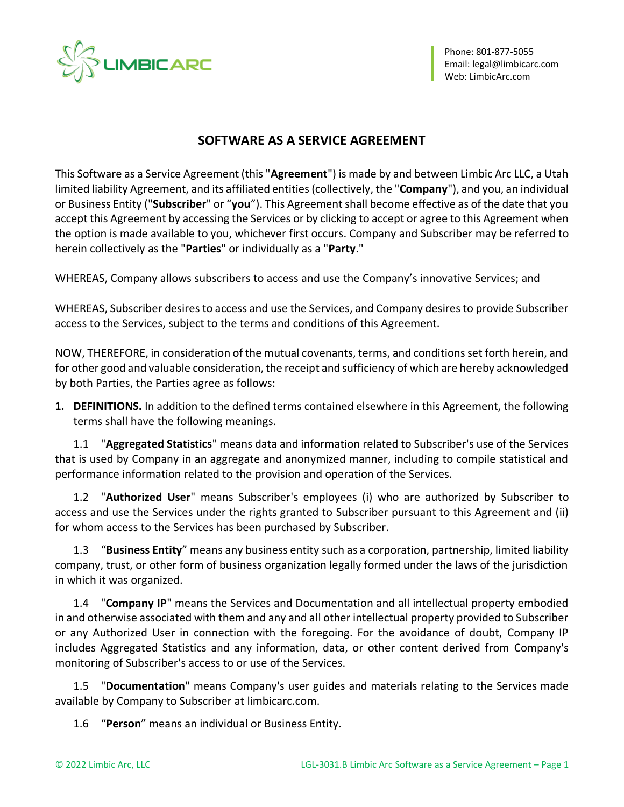

# **SOFTWARE AS A SERVICE AGREEMENT**

This Software as a Service Agreement (this "**Agreement**") is made by and between Limbic Arc LLC, a Utah limited liability Agreement, and its affiliated entities (collectively, the "**Company**"), and you, an individual or Business Entity ("**Subscriber**" or "**you**"). This Agreement shall become effective as of the date that you accept this Agreement by accessing the Services or by clicking to accept or agree to this Agreement when the option is made available to you, whichever first occurs. Company and Subscriber may be referred to herein collectively as the "**Parties**" or individually as a "**Party**."

WHEREAS, Company allows subscribers to access and use the Company's innovative Services; and

WHEREAS, Subscriber desires to access and use the Services, and Company desires to provide Subscriber access to the Services, subject to the terms and conditions of this Agreement.

NOW, THEREFORE, in consideration of the mutual covenants, terms, and conditions set forth herein, and for other good and valuable consideration, the receipt and sufficiency of which are hereby acknowledged by both Parties, the Parties agree as follows:

**1. DEFINITIONS.** In addition to the defined terms contained elsewhere in this Agreement, the following terms shall have the following meanings.

1.1 "**Aggregated Statistics**" means data and information related to Subscriber's use of the Services that is used by Company in an aggregate and anonymized manner, including to compile statistical and performance information related to the provision and operation of the Services.

1.2 "**Authorized User**" means Subscriber's employees (i) who are authorized by Subscriber to access and use the Services under the rights granted to Subscriber pursuant to this Agreement and (ii) for whom access to the Services has been purchased by Subscriber.

1.3 "**Business Entity**" means any business entity such as a corporation, partnership, limited liability company, trust, or other form of business organization legally formed under the laws of the jurisdiction in which it was organized.

1.4 "**Company IP**" means the Services and Documentation and all intellectual property embodied in and otherwise associated with them and any and all other intellectual property provided to Subscriber or any Authorized User in connection with the foregoing. For the avoidance of doubt, Company IP includes Aggregated Statistics and any information, data, or other content derived from Company's monitoring of Subscriber's access to or use of the Services.

1.5 "**Documentation**" means Company's user guides and materials relating to the Services made available by Company to Subscriber at limbicarc.com.

1.6 "**Person**" means an individual or Business Entity.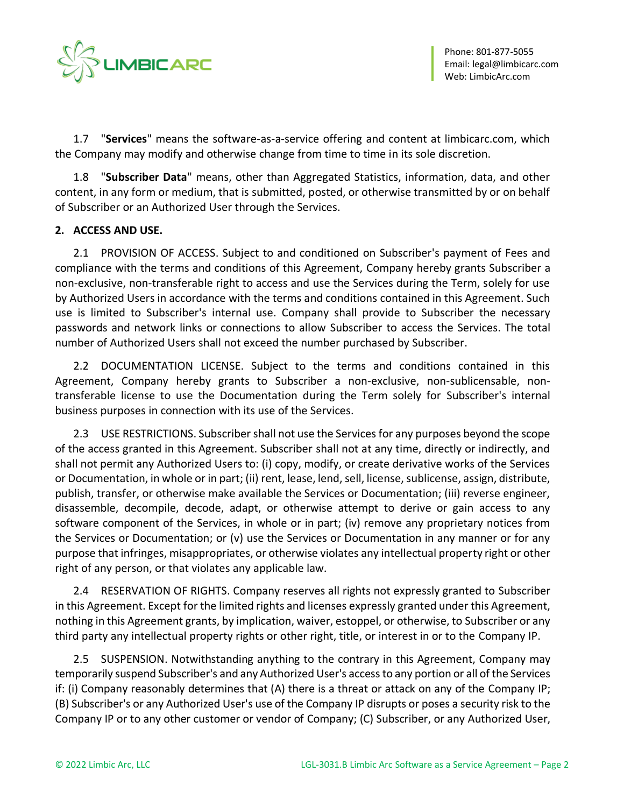

1.7 "**Services**" means the software-as-a-service offering and content at limbicarc.com, which the Company may modify and otherwise change from time to time in its sole discretion.

1.8 "**Subscriber Data**" means, other than Aggregated Statistics, information, data, and other content, in any form or medium, that is submitted, posted, or otherwise transmitted by or on behalf of Subscriber or an Authorized User through the Services.

## **2. ACCESS AND USE.**

2.1 PROVISION OF ACCESS. Subject to and conditioned on Subscriber's payment of Fees and compliance with the terms and conditions of this Agreement, Company hereby grants Subscriber a non-exclusive, non-transferable right to access and use the Services during the Term, solely for use by Authorized Users in accordance with the terms and conditions contained in this Agreement. Such use is limited to Subscriber's internal use. Company shall provide to Subscriber the necessary passwords and network links or connections to allow Subscriber to access the Services. The total number of Authorized Users shall not exceed the number purchased by Subscriber.

2.2 DOCUMENTATION LICENSE. Subject to the terms and conditions contained in this Agreement, Company hereby grants to Subscriber a non-exclusive, non-sublicensable, nontransferable license to use the Documentation during the Term solely for Subscriber's internal business purposes in connection with its use of the Services.

<span id="page-1-0"></span>2.3 USE RESTRICTIONS. Subscriber shall not use the Services for any purposes beyond the scope of the access granted in this Agreement. Subscriber shall not at any time, directly or indirectly, and shall not permit any Authorized Users to: (i) copy, modify, or create derivative works of the Services or Documentation, in whole or in part; (ii) rent, lease, lend, sell, license, sublicense, assign, distribute, publish, transfer, or otherwise make available the Services or Documentation; (iii) reverse engineer, disassemble, decompile, decode, adapt, or otherwise attempt to derive or gain access to any software component of the Services, in whole or in part; (iv) remove any proprietary notices from the Services or Documentation; or (v) use the Services or Documentation in any manner or for any purpose that infringes, misappropriates, or otherwise violates any intellectual property right or other right of any person, or that violates any applicable law.

2.4 RESERVATION OF RIGHTS. Company reserves all rights not expressly granted to Subscriber in this Agreement. Except for the limited rights and licenses expressly granted under this Agreement, nothing in this Agreement grants, by implication, waiver, estoppel, or otherwise, to Subscriber or any third party any intellectual property rights or other right, title, or interest in or to the Company IP.

2.5 SUSPENSION. Notwithstanding anything to the contrary in this Agreement, Company may temporarily suspend Subscriber's and any Authorized User's access to any portion or all of the Services if: (i) Company reasonably determines that (A) there is a threat or attack on any of the Company IP; (B) Subscriber's or any Authorized User's use of the Company IP disrupts or poses a security risk to the Company IP or to any other customer or vendor of Company; (C) Subscriber, or any Authorized User,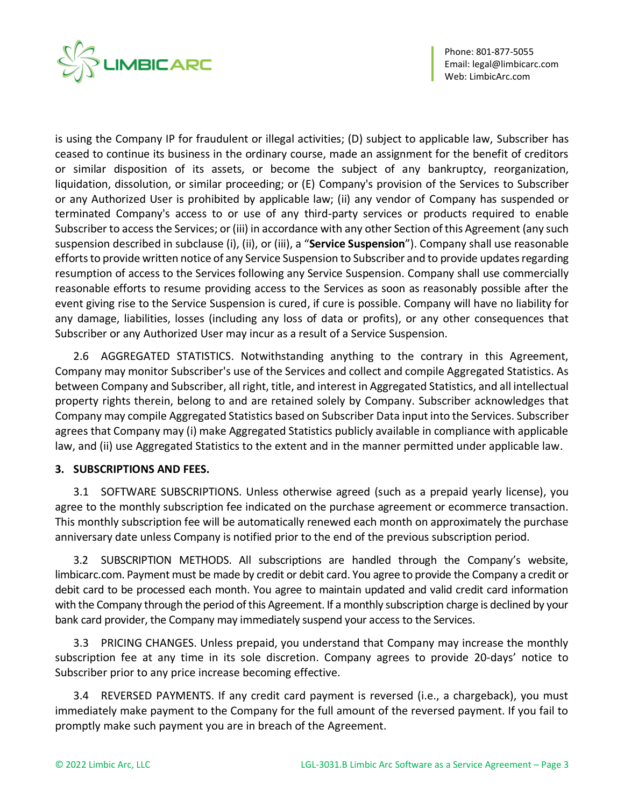

Phone: 801-877-5055 Email[: legal@limbicarc.com](mailto:legal@limbicarc.com) Web[: LimbicArc.com](https://limbicarc.com/)

is using the Company IP for fraudulent or illegal activities; (D) subject to applicable law, Subscriber has ceased to continue its business in the ordinary course, made an assignment for the benefit of creditors or similar disposition of its assets, or become the subject of any bankruptcy, reorganization, liquidation, dissolution, or similar proceeding; or (E) Company's provision of the Services to Subscriber or any Authorized User is prohibited by applicable law; (ii) any vendor of Company has suspended or terminated Company's access to or use of any third-party services or products required to enable Subscriber to access the Services; or (iii) in accordance with any other Section of this Agreement (any such suspension described in subclause (i), (ii), or (iii), a "**Service Suspension**"). Company shall use reasonable efforts to provide written notice of any Service Suspension to Subscriber and to provide updates regarding resumption of access to the Services following any Service Suspension. Company shall use commercially reasonable efforts to resume providing access to the Services as soon as reasonably possible after the event giving rise to the Service Suspension is cured, if cure is possible. Company will have no liability for any damage, liabilities, losses (including any loss of data or profits), or any other consequences that Subscriber or any Authorized User may incur as a result of a Service Suspension.

2.6 AGGREGATED STATISTICS. Notwithstanding anything to the contrary in this Agreement, Company may monitor Subscriber's use of the Services and collect and compile Aggregated Statistics. As between Company and Subscriber, all right, title, and interest in Aggregated Statistics, and all intellectual property rights therein, belong to and are retained solely by Company. Subscriber acknowledges that Company may compile Aggregated Statistics based on Subscriber Data input into the Services. Subscriber agrees that Company may (i) make Aggregated Statistics publicly available in compliance with applicable law, and (ii) use Aggregated Statistics to the extent and in the manner permitted under applicable law.

## **3. SUBSCRIPTIONS AND FEES.**

3.1 SOFTWARE SUBSCRIPTIONS. Unless otherwise agreed (such as a prepaid yearly license), you agree to the monthly subscription fee indicated on the purchase agreement or ecommerce transaction. This monthly subscription fee will be automatically renewed each month on approximately the purchase anniversary date unless Company is notified prior to the end of the previous subscription period.

3.2 SUBSCRIPTION METHODS. All subscriptions are handled through the Company's website, limbicarc.com. Payment must be made by credit or debit card. You agree to provide the Company a credit or debit card to be processed each month. You agree to maintain updated and valid credit card information with the Company through the period of this Agreement. If a monthly subscription charge is declined by your bank card provider, the Company may immediately suspend your access to the Services.

3.3 PRICING CHANGES. Unless prepaid, you understand that Company may increase the monthly subscription fee at any time in its sole discretion. Company agrees to provide 20-days' notice to Subscriber prior to any price increase becoming effective.

3.4 REVERSED PAYMENTS. If any credit card payment is reversed (i.e., a chargeback), you must immediately make payment to the Company for the full amount of the reversed payment. If you fail to promptly make such payment you are in breach of the Agreement.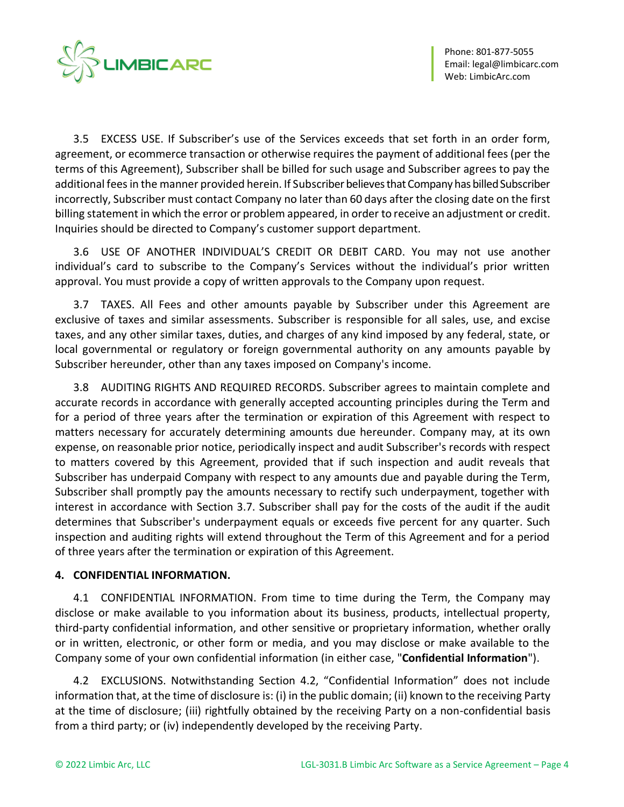

3.5 EXCESS USE. If Subscriber's use of the Services exceeds that set forth in an order form, agreement, or ecommerce transaction or otherwise requires the payment of additional fees (per the terms of this Agreement), Subscriber shall be billed for such usage and Subscriber agrees to pay the additional fees in the manner provided herein. If Subscriber believes that Company has billed Subscriber incorrectly, Subscriber must contact Company no later than 60 days after the closing date on the first billing statement in which the error or problem appeared, in order to receive an adjustment or credit. Inquiries should be directed to Company's customer support department.

3.6 USE OF ANOTHER INDIVIDUAL'S CREDIT OR DEBIT CARD. You may not use another individual's card to subscribe to the Company's Services without the individual's prior written approval. You must provide a copy of written approvals to the Company upon request.

3.7 TAXES. All Fees and other amounts payable by Subscriber under this Agreement are exclusive of taxes and similar assessments. Subscriber is responsible for all sales, use, and excise taxes, and any other similar taxes, duties, and charges of any kind imposed by any federal, state, or local governmental or regulatory or foreign governmental authority on any amounts payable by Subscriber hereunder, other than any taxes imposed on Company's income.

3.8 AUDITING RIGHTS AND REQUIRED RECORDS. Subscriber agrees to maintain complete and accurate records in accordance with generally accepted accounting principles during the Term and for a period of three years after the termination or expiration of this Agreement with respect to matters necessary for accurately determining amounts due hereunder. Company may, at its own expense, on reasonable prior notice, periodically inspect and audit Subscriber's records with respect to matters covered by this Agreement, provided that if such inspection and audit reveals that Subscriber has underpaid Company with respect to any amounts due and payable during the Term, Subscriber shall promptly pay the amounts necessary to rectify such underpayment, together with interest in accordance with Section 3.7. Subscriber shall pay for the costs of the audit if the audit determines that Subscriber's underpayment equals or exceeds five percent for any quarter. Such inspection and auditing rights will extend throughout the Term of this Agreement and for a period of three years after the termination or expiration of this Agreement.

#### <span id="page-3-0"></span>**4. CONFIDENTIAL INFORMATION.**

4.1 CONFIDENTIAL INFORMATION. From time to time during the Term, the Company may disclose or make available to you information about its business, products, intellectual property, third-party confidential information, and other sensitive or proprietary information, whether orally or in written, electronic, or other form or media, and you may disclose or make available to the Company some of your own confidential information (in either case, "**Confidential Information**").

4.2 EXCLUSIONS. Notwithstanding Section 4.2, "Confidential Information" does not include information that, at the time of disclosure is: (i) in the public domain; (ii) known to the receiving Party at the time of disclosure; (iii) rightfully obtained by the receiving Party on a non-confidential basis from a third party; or (iv) independently developed by the receiving Party.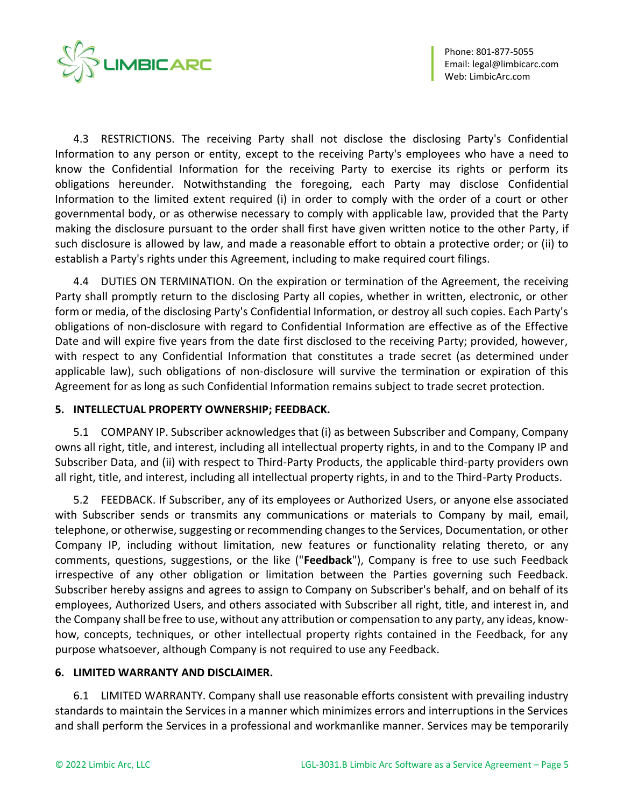

4.3 RESTRICTIONS. The receiving Party shall not disclose the disclosing Party's Confidential Information to any person or entity, except to the receiving Party's employees who have a need to know the Confidential Information for the receiving Party to exercise its rights or perform its obligations hereunder. Notwithstanding the foregoing, each Party may disclose Confidential Information to the limited extent required (i) in order to comply with the order of a court or other governmental body, or as otherwise necessary to comply with applicable law, provided that the Party making the disclosure pursuant to the order shall first have given written notice to the other Party, if such disclosure is allowed by law, and made a reasonable effort to obtain a protective order; or (ii) to establish a Party's rights under this Agreement, including to make required court filings.

4.4 DUTIES ON TERMINATION. On the expiration or termination of the Agreement, the receiving Party shall promptly return to the disclosing Party all copies, whether in written, electronic, or other form or media, of the disclosing Party's Confidential Information, or destroy all such copies. Each Party's obligations of non-disclosure with regard to Confidential Information are effective as of the Effective Date and will expire five years from the date first disclosed to the receiving Party; provided, however, with respect to any Confidential Information that constitutes a trade secret (as determined under applicable law), such obligations of non-disclosure will survive the termination or expiration of this Agreement for as long as such Confidential Information remains subject to trade secret protection.

#### **5. INTELLECTUAL PROPERTY OWNERSHIP; FEEDBACK.**

5.1 COMPANY IP. Subscriber acknowledges that (i) as between Subscriber and Company, Company owns all right, title, and interest, including all intellectual property rights, in and to the Company IP and Subscriber Data, and (ii) with respect to Third-Party Products, the applicable third-party providers own all right, title, and interest, including all intellectual property rights, in and to the Third-Party Products.

5.2 FEEDBACK. If Subscriber, any of its employees or Authorized Users, or anyone else associated with Subscriber sends or transmits any communications or materials to Company by mail, email, telephone, or otherwise, suggesting or recommending changes to the Services, Documentation, or other Company IP, including without limitation, new features or functionality relating thereto, or any comments, questions, suggestions, or the like ("**Feedback**"), Company is free to use such Feedback irrespective of any other obligation or limitation between the Parties governing such Feedback. Subscriber hereby assigns and agrees to assign to Company on Subscriber's behalf, and on behalf of its employees, Authorized Users, and others associated with Subscriber all right, title, and interest in, and the Company shall be free to use, without any attribution or compensation to any party, any ideas, knowhow, concepts, techniques, or other intellectual property rights contained in the Feedback, for any purpose whatsoever, although Company is not required to use any Feedback.

## **6. LIMITED WARRANTY AND DISCLAIMER.**

<span id="page-4-0"></span>6.1 LIMITED WARRANTY. Company shall use reasonable efforts consistent with prevailing industry standards to maintain the Services in a manner which minimizes errors and interruptions in the Services and shall perform the Services in a professional and workmanlike manner. Services may be temporarily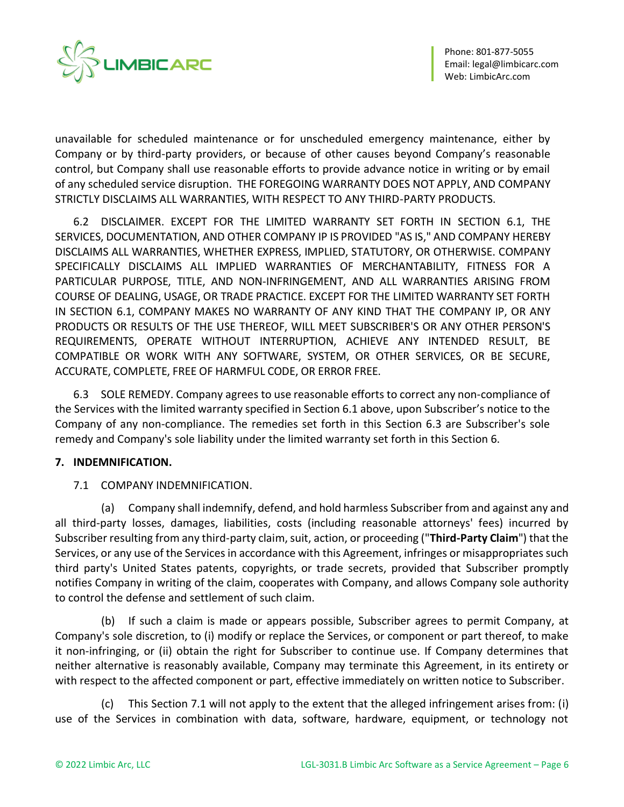

unavailable for scheduled maintenance or for unscheduled emergency maintenance, either by Company or by third-party providers, or because of other causes beyond Company's reasonable control, but Company shall use reasonable efforts to provide advance notice in writing or by email of any scheduled service disruption. THE FOREGOING WARRANTY DOES NOT APPLY, AND COMPANY STRICTLY DISCLAIMS ALL WARRANTIES, WITH RESPECT TO ANY THIRD-PARTY PRODUCTS.

6.2 DISCLAIMER. EXCEPT FOR THE LIMITED WARRANTY SET FORTH IN [SECTION 6.1,](#page-4-0) THE SERVICES, DOCUMENTATION, AND OTHER COMPANY IP IS PROVIDED "AS IS," AND COMPANY HEREBY DISCLAIMS ALL WARRANTIES, WHETHER EXPRESS, IMPLIED, STATUTORY, OR OTHERWISE. COMPANY SPECIFICALLY DISCLAIMS ALL IMPLIED WARRANTIES OF MERCHANTABILITY, FITNESS FOR A PARTICULAR PURPOSE, TITLE, AND NON-INFRINGEMENT, AND ALL WARRANTIES ARISING FROM COURSE OF DEALING, USAGE, OR TRADE PRACTICE. EXCEPT FOR THE LIMITED WARRANTY SET FORTH IN SECTION 6.1, COMPANY MAKES NO WARRANTY OF ANY KIND THAT THE COMPANY IP, OR ANY PRODUCTS OR RESULTS OF THE USE THEREOF, WILL MEET SUBSCRIBER'S OR ANY OTHER PERSON'S REQUIREMENTS, OPERATE WITHOUT INTERRUPTION, ACHIEVE ANY INTENDED RESULT, BE COMPATIBLE OR WORK WITH ANY SOFTWARE, SYSTEM, OR OTHER SERVICES, OR BE SECURE, ACCURATE, COMPLETE, FREE OF HARMFUL CODE, OR ERROR FREE.

6.3 SOLE REMEDY. Company agrees to use reasonable efforts to correct any non-compliance of the Services with the limited warranty specified in Section 6.1 above, upon Subscriber's notice to the Company of any non-compliance. The remedies set forth in this Section 6.3 are Subscriber's sole remedy and Company's sole liability under the limited warranty set forth in this Section 6.

## <span id="page-5-0"></span>**7. INDEMNIFICATION.**

## 7.1 COMPANY INDEMNIFICATION.

(a) Company shall indemnify, defend, and hold harmless Subscriber from and against any and all third-party losses, damages, liabilities, costs (including reasonable attorneys' fees) incurred by Subscriber resulting from any third-party claim, suit, action, or proceeding ("**Third-Party Claim**") that the Services, or any use of the Services in accordance with this Agreement, infringes or misappropriates such third party's United States patents, copyrights, or trade secrets, provided that Subscriber promptly notifies Company in writing of the claim, cooperates with Company, and allows Company sole authority to control the defense and settlement of such claim.

(b) If such a claim is made or appears possible, Subscriber agrees to permit Company, at Company's sole discretion, to (i) modify or replace the Services, or component or part thereof, to make it non-infringing, or (ii) obtain the right for Subscriber to continue use. If Company determines that neither alternative is reasonably available, Company may terminate this Agreement, in its entirety or with respect to the affected component or part, effective immediately on written notice to Subscriber.

(c) This Section 7.1 will not apply to the extent that the alleged infringement arises from: (i) use of the Services in combination with data, software, hardware, equipment, or technology not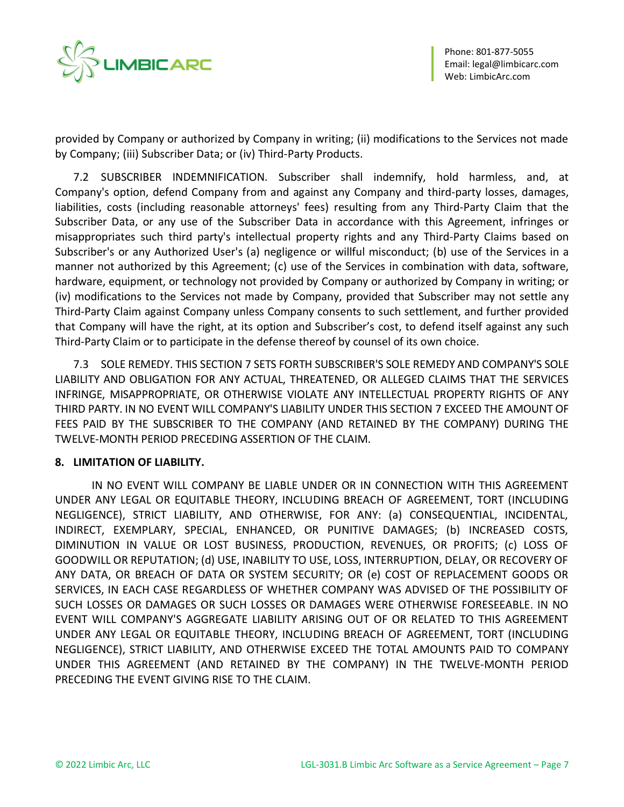

provided by Company or authorized by Company in writing; (ii) modifications to the Services not made by Company; (iii) Subscriber Data; or (iv) Third-Party Products.

7.2 SUBSCRIBER INDEMNIFICATION. Subscriber shall indemnify, hold harmless, and, at Company's option, defend Company from and against any Company and third-party losses, damages, liabilities, costs (including reasonable attorneys' fees) resulting from any Third-Party Claim that the Subscriber Data, or any use of the Subscriber Data in accordance with this Agreement, infringes or misappropriates such third party's intellectual property rights and any Third-Party Claims based on Subscriber's or any Authorized User's (a) negligence or willful misconduct; (b) use of the Services in a manner not authorized by this Agreement; (c) use of the Services in combination with data, software, hardware, equipment, or technology not provided by Company or authorized by Company in writing; or (iv) modifications to the Services not made by Company, provided that Subscriber may not settle any Third-Party Claim against Company unless Company consents to such settlement, and further provided that Company will have the right, at its option and Subscriber's cost, to defend itself against any such Third-Party Claim or to participate in the defense thereof by counsel of its own choice.

7.3 SOLE REMEDY. THIS [SECTION 7](#page-5-0) SETS FORTH SUBSCRIBER'S SOLE REMEDY AND COMPANY'S SOLE LIABILITY AND OBLIGATION FOR ANY ACTUAL, THREATENED, OR ALLEGED CLAIMS THAT THE SERVICES INFRINGE, MISAPPROPRIATE, OR OTHERWISE VIOLATE ANY INTELLECTUAL PROPERTY RIGHTS OF ANY THIRD PARTY. IN NO EVENT WILL COMPANY'S LIABILITY UNDER THIS SECTION 7 EXCEED THE AMOUNT OF FEES PAID BY THE SUBSCRIBER TO THE COMPANY (AND RETAINED BY THE COMPANY) DURING THE TWELVE-MONTH PERIOD PRECEDING ASSERTION OF THE CLAIM.

## **8. LIMITATION OF LIABILITY.**

IN NO EVENT WILL COMPANY BE LIABLE UNDER OR IN CONNECTION WITH THIS AGREEMENT UNDER ANY LEGAL OR EQUITABLE THEORY, INCLUDING BREACH OF AGREEMENT, TORT (INCLUDING NEGLIGENCE), STRICT LIABILITY, AND OTHERWISE, FOR ANY: (a) CONSEQUENTIAL, INCIDENTAL, INDIRECT, EXEMPLARY, SPECIAL, ENHANCED, OR PUNITIVE DAMAGES; (b) INCREASED COSTS, DIMINUTION IN VALUE OR LOST BUSINESS, PRODUCTION, REVENUES, OR PROFITS; (c) LOSS OF GOODWILL OR REPUTATION; (d) USE, INABILITY TO USE, LOSS, INTERRUPTION, DELAY, OR RECOVERY OF ANY DATA, OR BREACH OF DATA OR SYSTEM SECURITY; OR (e) COST OF REPLACEMENT GOODS OR SERVICES, IN EACH CASE REGARDLESS OF WHETHER COMPANY WAS ADVISED OF THE POSSIBILITY OF SUCH LOSSES OR DAMAGES OR SUCH LOSSES OR DAMAGES WERE OTHERWISE FORESEEABLE. IN NO EVENT WILL COMPANY'S AGGREGATE LIABILITY ARISING OUT OF OR RELATED TO THIS AGREEMENT UNDER ANY LEGAL OR EQUITABLE THEORY, INCLUDING BREACH OF AGREEMENT, TORT (INCLUDING NEGLIGENCE), STRICT LIABILITY, AND OTHERWISE EXCEED THE TOTAL AMOUNTS PAID TO COMPANY UNDER THIS AGREEMENT (AND RETAINED BY THE COMPANY) IN THE TWELVE-MONTH PERIOD PRECEDING THE EVENT GIVING RISE TO THE CLAIM.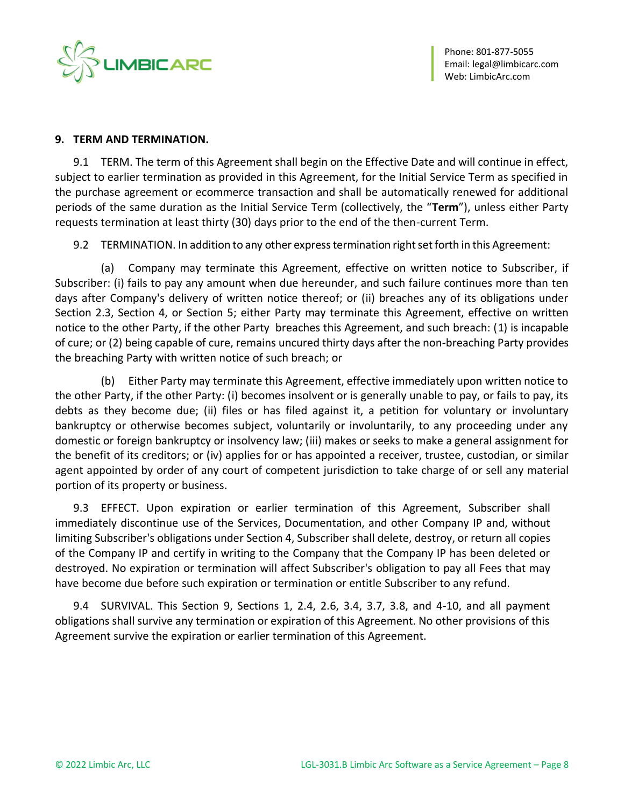

#### **9. TERM AND TERMINATION.**

9.1 TERM. The term of this Agreement shall begin on the Effective Date and will continue in effect, subject to earlier termination as provided in this Agreement, for the Initial Service Term as specified in the purchase agreement or ecommerce transaction and shall be automatically renewed for additional periods of the same duration as the Initial Service Term (collectively, the "**Term**"), unless either Party requests termination at least thirty (30) days prior to the end of the then-current Term.

9.2 TERMINATION. In addition to any other express termination right set forth in this Agreement:

(a) Company may terminate this Agreement, effective on written notice to Subscriber, if Subscriber: (i) fails to pay any amount when due hereunder, and such failure continues more than ten days after Company's delivery of written notice thereof; or (ii) breaches any of its obligations under [Section 2.3,](#page-1-0) [Section 4](#page-3-0), or Section 5; either Party may terminate this Agreement, effective on written notice to the other Party, if the other Party breaches this Agreement, and such breach: (1) is incapable of cure; or (2) being capable of cure, remains uncured thirty days after the non-breaching Party provides the breaching Party with written notice of such breach; or

(b) Either Party may terminate this Agreement, effective immediately upon written notice to the other Party, if the other Party: (i) becomes insolvent or is generally unable to pay, or fails to pay, its debts as they become due; (ii) files or has filed against it, a petition for voluntary or involuntary bankruptcy or otherwise becomes subject, voluntarily or involuntarily, to any proceeding under any domestic or foreign bankruptcy or insolvency law; (iii) makes or seeks to make a general assignment for the benefit of its creditors; or (iv) applies for or has appointed a receiver, trustee, custodian, or similar agent appointed by order of any court of competent jurisdiction to take charge of or sell any material portion of its property or business.

9.3 EFFECT. Upon expiration or earlier termination of this Agreement, Subscriber shall immediately discontinue use of the Services, Documentation, and other Company IP and, without limiting Subscriber's obligations under Section 4, Subscriber shall delete, destroy, or return all copies of the Company IP and certify in writing to the Company that the Company IP has been deleted or destroyed. No expiration or termination will affect Subscriber's obligation to pay all Fees that may have become due before such expiration or termination or entitle Subscriber to any refund.

9.4 SURVIVAL. This Section 9, Sections 1, 2.4, 2.6, 3.4, 3.7, 3.8, and 4-10, and all payment obligations shall survive any termination or expiration of this Agreement. No other provisions of this Agreement survive the expiration or earlier termination of this Agreement.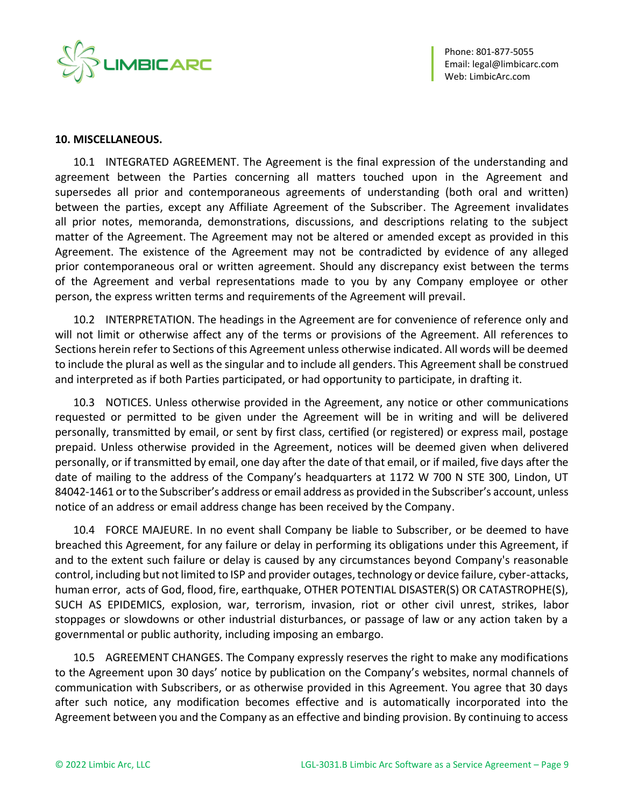

#### **10. MISCELLANEOUS.**

10.1 INTEGRATED AGREEMENT. The Agreement is the final expression of the understanding and agreement between the Parties concerning all matters touched upon in the Agreement and supersedes all prior and contemporaneous agreements of understanding (both oral and written) between the parties, except any Affiliate Agreement of the Subscriber. The Agreement invalidates all prior notes, memoranda, demonstrations, discussions, and descriptions relating to the subject matter of the Agreement. The Agreement may not be altered or amended except as provided in this Agreement. The existence of the Agreement may not be contradicted by evidence of any alleged prior contemporaneous oral or written agreement. Should any discrepancy exist between the terms of the Agreement and verbal representations made to you by any Company employee or other person, the express written terms and requirements of the Agreement will prevail.

10.2 INTERPRETATION. The headings in the Agreement are for convenience of reference only and will not limit or otherwise affect any of the terms or provisions of the Agreement. All references to Sections herein refer to Sections of this Agreement unless otherwise indicated. All words will be deemed to include the plural as well as the singular and to include all genders. This Agreement shall be construed and interpreted as if both Parties participated, or had opportunity to participate, in drafting it.

10.3 NOTICES. Unless otherwise provided in the Agreement, any notice or other communications requested or permitted to be given under the Agreement will be in writing and will be delivered personally, transmitted by email, or sent by first class, certified (or registered) or express mail, postage prepaid. Unless otherwise provided in the Agreement, notices will be deemed given when delivered personally, or if transmitted by email, one day after the date of that email, or if mailed, five days after the date of mailing to the address of the Company's headquarters at 1172 W 700 N STE 300, Lindon, UT 84042-1461 or to the Subscriber's address or email address as provided in the Subscriber's account, unless notice of an address or email address change has been received by the Company.

10.4 FORCE MAJEURE. In no event shall Company be liable to Subscriber, or be deemed to have breached this Agreement, for any failure or delay in performing its obligations under this Agreement, if and to the extent such failure or delay is caused by any circumstances beyond Company's reasonable control, including but not limited to ISP and provider outages, technology or device failure, cyber-attacks, human error, acts of God, flood, fire, earthquake, OTHER POTENTIAL DISASTER(S) OR CATASTROPHE(S), SUCH AS EPIDEMICS, explosion, war, terrorism, invasion, riot or other civil unrest, strikes, labor stoppages or slowdowns or other industrial disturbances, or passage of law or any action taken by a governmental or public authority, including imposing an embargo.

10.5 AGREEMENT CHANGES. The Company expressly reserves the right to make any modifications to the Agreement upon 30 days' notice by publication on the Company's websites, normal channels of communication with Subscribers, or as otherwise provided in this Agreement. You agree that 30 days after such notice, any modification becomes effective and is automatically incorporated into the Agreement between you and the Company as an effective and binding provision. By continuing to access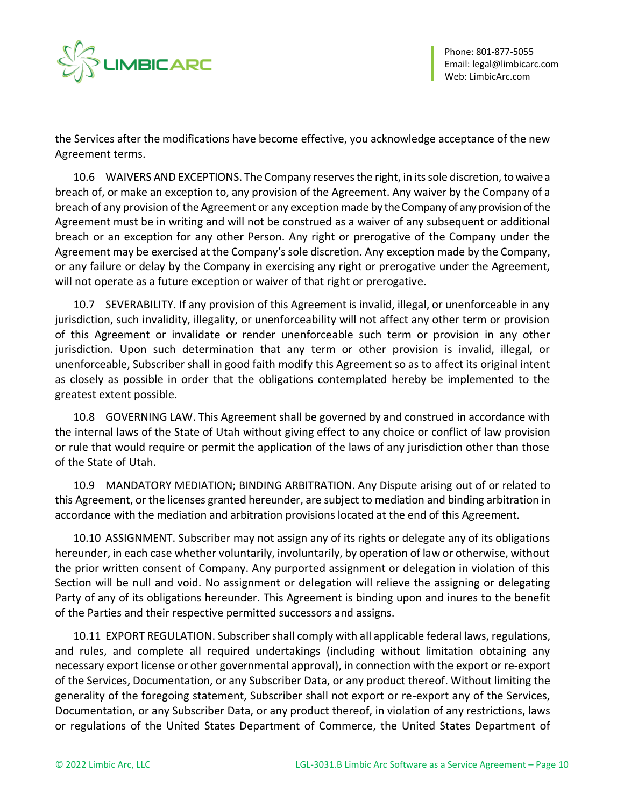

the Services after the modifications have become effective, you acknowledge acceptance of the new Agreement terms.

10.6 WAIVERS AND EXCEPTIONS. The Company reserves the right, in its sole discretion, to waive a breach of, or make an exception to, any provision of the Agreement. Any waiver by the Company of a breach of any provision of the Agreement or any exception made by the Company of any provision of the Agreement must be in writing and will not be construed as a waiver of any subsequent or additional breach or an exception for any other Person. Any right or prerogative of the Company under the Agreement may be exercised at the Company's sole discretion. Any exception made by the Company, or any failure or delay by the Company in exercising any right or prerogative under the Agreement, will not operate as a future exception or waiver of that right or prerogative.

10.7 SEVERABILITY. If any provision of this Agreement is invalid, illegal, or unenforceable in any jurisdiction, such invalidity, illegality, or unenforceability will not affect any other term or provision of this Agreement or invalidate or render unenforceable such term or provision in any other jurisdiction. Upon such determination that any term or other provision is invalid, illegal, or unenforceable, Subscriber shall in good faith modify this Agreement so as to affect its original intent as closely as possible in order that the obligations contemplated hereby be implemented to the greatest extent possible.

10.8 GOVERNING LAW. This Agreement shall be governed by and construed in accordance with the internal laws of the State of Utah without giving effect to any choice or conflict of law provision or rule that would require or permit the application of the laws of any jurisdiction other than those of the State of Utah.

10.9 MANDATORY MEDIATION; BINDING ARBITRATION. Any Dispute arising out of or related to this Agreement, or the licenses granted hereunder, are subject to mediation and binding arbitration in accordance with the mediation and arbitration provisions located at the end of this Agreement.

10.10 ASSIGNMENT. Subscriber may not assign any of its rights or delegate any of its obligations hereunder, in each case whether voluntarily, involuntarily, by operation of law or otherwise, without the prior written consent of Company. Any purported assignment or delegation in violation of this Section will be null and void. No assignment or delegation will relieve the assigning or delegating Party of any of its obligations hereunder. This Agreement is binding upon and inures to the benefit of the Parties and their respective permitted successors and assigns.

10.11 EXPORT REGULATION. Subscriber shall comply with all applicable federal laws, regulations, and rules, and complete all required undertakings (including without limitation obtaining any necessary export license or other governmental approval), in connection with the export or re-export of the Services, Documentation, or any Subscriber Data, or any product thereof. Without limiting the generality of the foregoing statement, Subscriber shall not export or re-export any of the Services, Documentation, or any Subscriber Data, or any product thereof, in violation of any restrictions, laws or regulations of the United States Department of Commerce, the United States Department of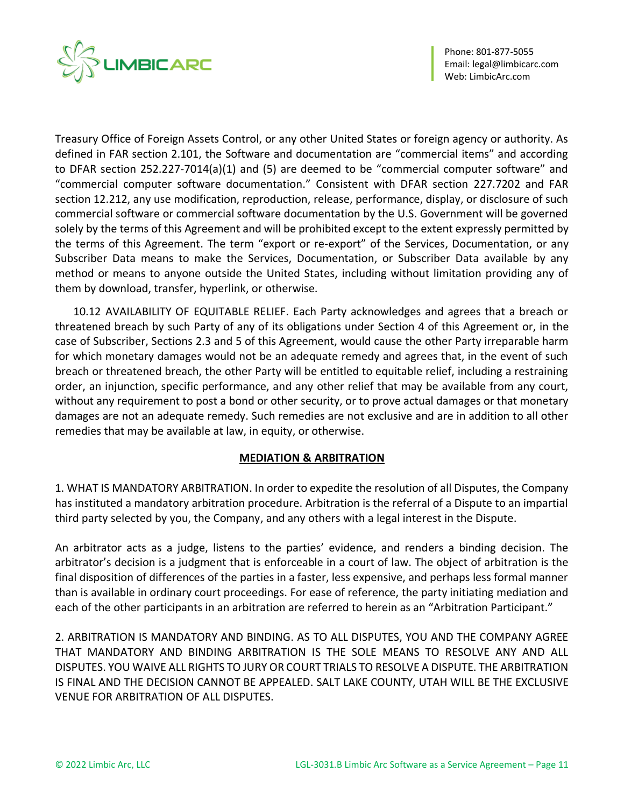

Phone: 801-877-5055 Email[: legal@limbicarc.com](mailto:legal@limbicarc.com) Web[: LimbicArc.com](https://limbicarc.com/)

Treasury Office of Foreign Assets Control, or any other United States or foreign agency or authority. As defined in FAR section 2.101, the Software and documentation are "commercial items" and according to DFAR section 252.227-7014(a)(1) and (5) are deemed to be "commercial computer software" and "commercial computer software documentation." Consistent with DFAR section 227.7202 and FAR section 12.212, any use modification, reproduction, release, performance, display, or disclosure of such commercial software or commercial software documentation by the U.S. Government will be governed solely by the terms of this Agreement and will be prohibited except to the extent expressly permitted by the terms of this Agreement. The term "export or re-export" of the Services, Documentation, or any Subscriber Data means to make the Services, Documentation, or Subscriber Data available by any method or means to anyone outside the United States, including without limitation providing any of them by download, transfer, hyperlink, or otherwise.

10.12 AVAILABILITY OF EQUITABLE RELIEF. Each Party acknowledges and agrees that a breach or threatened breach by such Party of any of its obligations under Section 4 of this Agreement or, in the case of Subscriber, Sections 2.3 and 5 of this Agreement, would cause the other Party irreparable harm for which monetary damages would not be an adequate remedy and agrees that, in the event of such breach or threatened breach, the other Party will be entitled to equitable relief, including a restraining order, an injunction, specific performance, and any other relief that may be available from any court, without any requirement to post a bond or other security, or to prove actual damages or that monetary damages are not an adequate remedy. Such remedies are not exclusive and are in addition to all other remedies that may be available at law, in equity, or otherwise.

#### **MEDIATION & ARBITRATION**

1. WHAT IS MANDATORY ARBITRATION. In order to expedite the resolution of all Disputes, the Company has instituted a mandatory arbitration procedure. Arbitration is the referral of a Dispute to an impartial third party selected by you, the Company, and any others with a legal interest in the Dispute.

An arbitrator acts as a judge, listens to the parties' evidence, and renders a binding decision. The arbitrator's decision is a judgment that is enforceable in a court of law. The object of arbitration is the final disposition of differences of the parties in a faster, less expensive, and perhaps less formal manner than is available in ordinary court proceedings. For ease of reference, the party initiating mediation and each of the other participants in an arbitration are referred to herein as an "Arbitration Participant."

2. ARBITRATION IS MANDATORY AND BINDING. AS TO ALL DISPUTES, YOU AND THE COMPANY AGREE THAT MANDATORY AND BINDING ARBITRATION IS THE SOLE MEANS TO RESOLVE ANY AND ALL DISPUTES. YOU WAIVE ALL RIGHTS TO JURY OR COURT TRIALS TO RESOLVE A DISPUTE. THE ARBITRATION IS FINAL AND THE DECISION CANNOT BE APPEALED. SALT LAKE COUNTY, UTAH WILL BE THE EXCLUSIVE VENUE FOR ARBITRATION OF ALL DISPUTES.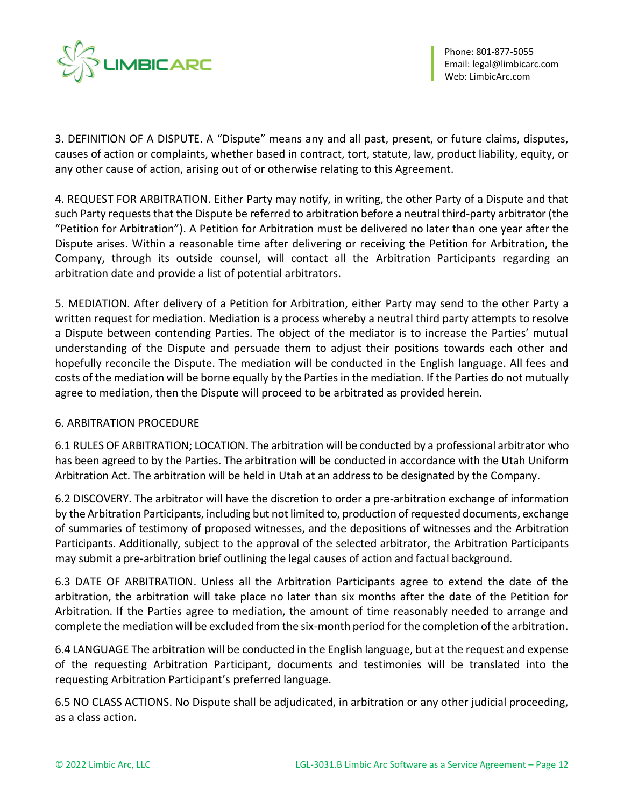

3. DEFINITION OF A DISPUTE. A "Dispute" means any and all past, present, or future claims, disputes, causes of action or complaints, whether based in contract, tort, statute, law, product liability, equity, or any other cause of action, arising out of or otherwise relating to this Agreement.

4. REQUEST FOR ARBITRATION. Either Party may notify, in writing, the other Party of a Dispute and that such Party requests that the Dispute be referred to arbitration before a neutral third-party arbitrator (the "Petition for Arbitration"). A Petition for Arbitration must be delivered no later than one year after the Dispute arises. Within a reasonable time after delivering or receiving the Petition for Arbitration, the Company, through its outside counsel, will contact all the Arbitration Participants regarding an arbitration date and provide a list of potential arbitrators.

5. MEDIATION. After delivery of a Petition for Arbitration, either Party may send to the other Party a written request for mediation. Mediation is a process whereby a neutral third party attempts to resolve a Dispute between contending Parties. The object of the mediator is to increase the Parties' mutual understanding of the Dispute and persuade them to adjust their positions towards each other and hopefully reconcile the Dispute. The mediation will be conducted in the English language. All fees and costs of the mediation will be borne equally by the Parties in the mediation. If the Parties do not mutually agree to mediation, then the Dispute will proceed to be arbitrated as provided herein.

## 6. ARBITRATION PROCEDURE

6.1 RULES OF ARBITRATION; LOCATION. The arbitration will be conducted by a professional arbitrator who has been agreed to by the Parties. The arbitration will be conducted in accordance with the Utah Uniform Arbitration Act. The arbitration will be held in Utah at an address to be designated by the Company.

6.2 DISCOVERY. The arbitrator will have the discretion to order a pre-arbitration exchange of information by the Arbitration Participants, including but not limited to, production of requested documents, exchange of summaries of testimony of proposed witnesses, and the depositions of witnesses and the Arbitration Participants. Additionally, subject to the approval of the selected arbitrator, the Arbitration Participants may submit a pre-arbitration brief outlining the legal causes of action and factual background.

6.3 DATE OF ARBITRATION. Unless all the Arbitration Participants agree to extend the date of the arbitration, the arbitration will take place no later than six months after the date of the Petition for Arbitration. If the Parties agree to mediation, the amount of time reasonably needed to arrange and complete the mediation will be excluded from the six-month period for the completion of the arbitration.

6.4 LANGUAGE The arbitration will be conducted in the English language, but at the request and expense of the requesting Arbitration Participant, documents and testimonies will be translated into the requesting Arbitration Participant's preferred language.

6.5 NO CLASS ACTIONS. No Dispute shall be adjudicated, in arbitration or any other judicial proceeding, as a class action.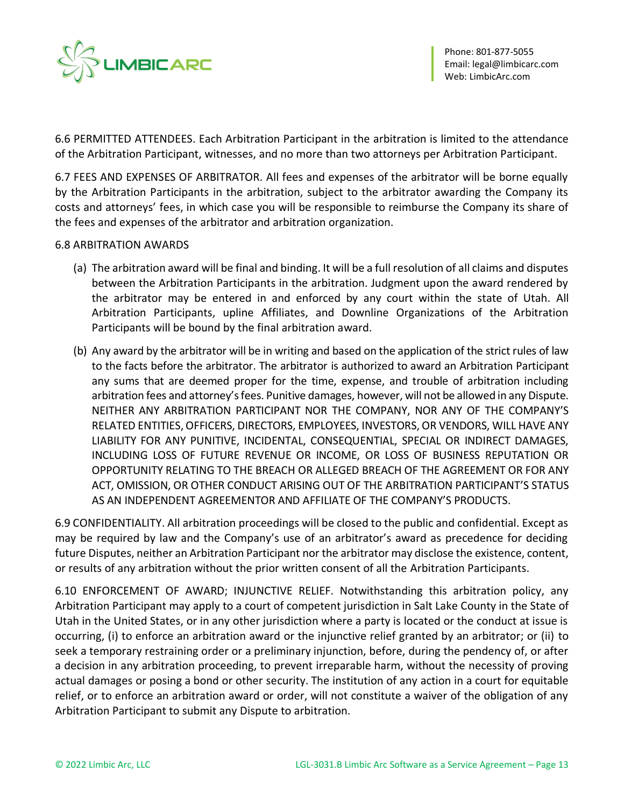

6.6 PERMITTED ATTENDEES. Each Arbitration Participant in the arbitration is limited to the attendance of the Arbitration Participant, witnesses, and no more than two attorneys per Arbitration Participant.

6.7 FEES AND EXPENSES OF ARBITRATOR. All fees and expenses of the arbitrator will be borne equally by the Arbitration Participants in the arbitration, subject to the arbitrator awarding the Company its costs and attorneys' fees, in which case you will be responsible to reimburse the Company its share of the fees and expenses of the arbitrator and arbitration organization.

#### 6.8 ARBITRATION AWARDS

- (a) The arbitration award will be final and binding. It will be a full resolution of all claims and disputes between the Arbitration Participants in the arbitration. Judgment upon the award rendered by the arbitrator may be entered in and enforced by any court within the state of Utah. All Arbitration Participants, upline Affiliates, and Downline Organizations of the Arbitration Participants will be bound by the final arbitration award.
- (b) Any award by the arbitrator will be in writing and based on the application of the strict rules of law to the facts before the arbitrator. The arbitrator is authorized to award an Arbitration Participant any sums that are deemed proper for the time, expense, and trouble of arbitration including arbitration fees and attorney's fees. Punitive damages, however, will not be allowed in any Dispute. NEITHER ANY ARBITRATION PARTICIPANT NOR THE COMPANY, NOR ANY OF THE COMPANY'S RELATED ENTITIES, OFFICERS, DIRECTORS, EMPLOYEES, INVESTORS, OR VENDORS, WILL HAVE ANY LIABILITY FOR ANY PUNITIVE, INCIDENTAL, CONSEQUENTIAL, SPECIAL OR INDIRECT DAMAGES, INCLUDING LOSS OF FUTURE REVENUE OR INCOME, OR LOSS OF BUSINESS REPUTATION OR OPPORTUNITY RELATING TO THE BREACH OR ALLEGED BREACH OF THE AGREEMENT OR FOR ANY ACT, OMISSION, OR OTHER CONDUCT ARISING OUT OF THE ARBITRATION PARTICIPANT'S STATUS AS AN INDEPENDENT AGREEMENTOR AND AFFILIATE OF THE COMPANY'S PRODUCTS.

6.9 CONFIDENTIALITY. All arbitration proceedings will be closed to the public and confidential. Except as may be required by law and the Company's use of an arbitrator's award as precedence for deciding future Disputes, neither an Arbitration Participant nor the arbitrator may disclose the existence, content, or results of any arbitration without the prior written consent of all the Arbitration Participants.

6.10 ENFORCEMENT OF AWARD; INJUNCTIVE RELIEF. Notwithstanding this arbitration policy, any Arbitration Participant may apply to a court of competent jurisdiction in Salt Lake County in the State of Utah in the United States, or in any other jurisdiction where a party is located or the conduct at issue is occurring, (i) to enforce an arbitration award or the injunctive relief granted by an arbitrator; or (ii) to seek a temporary restraining order or a preliminary injunction, before, during the pendency of, or after a decision in any arbitration proceeding, to prevent irreparable harm, without the necessity of proving actual damages or posing a bond or other security. The institution of any action in a court for equitable relief, or to enforce an arbitration award or order, will not constitute a waiver of the obligation of any Arbitration Participant to submit any Dispute to arbitration.